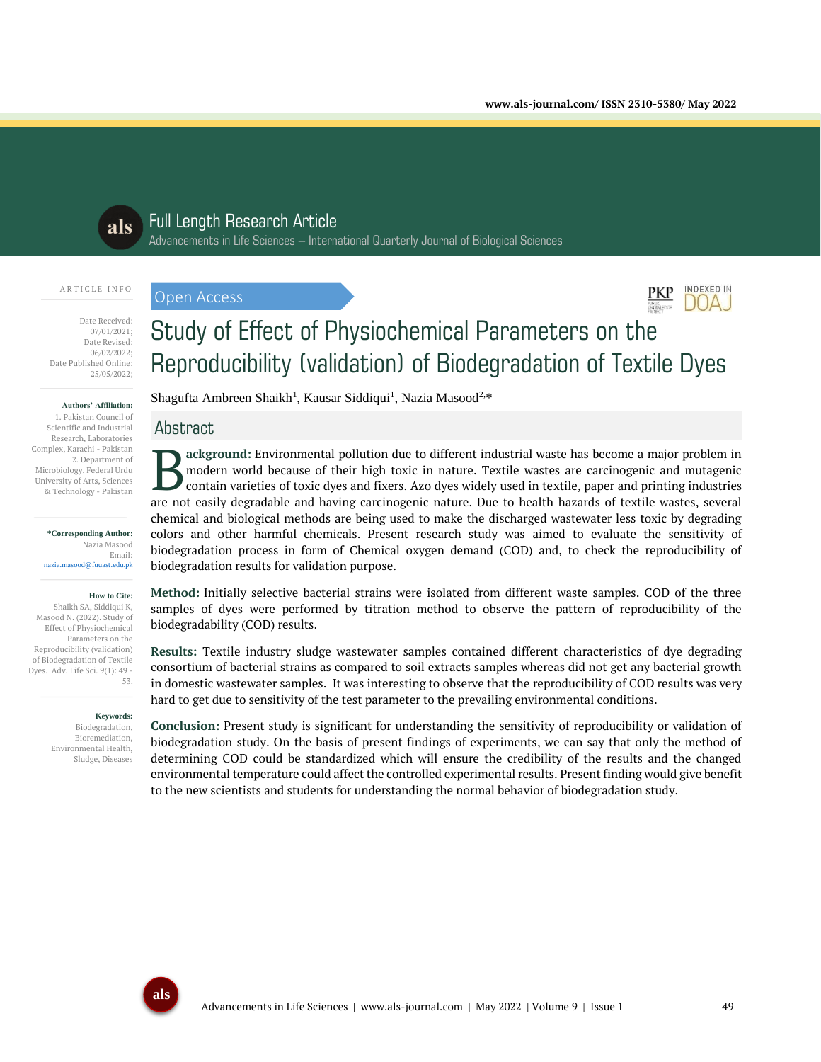**INDEXED IN** 



# Full Length Research Article

Advancements in Life Sciences – International Quarterly Journal of Biological Sciences

#### A R T I C L E I N F O

Date Received: 07/01/2021; Date Revised: 06/02/2022; Date Published Online: 25/05/2022;

#### **Authors' Affiliation:**

1. Pakistan Council of Scientific and Industrial Research, Laboratories Complex, Karachi - Pakistan 2. Department of Microbiology, Federal Urdu University of Arts, Sciences & Technology - Pakistan

> **\*Corresponding Author:** Nazia Masood Email: [nazia.masood@fuuast.edu.pk](mailto:muhammadahsannaeem@ymail.com)

#### **How to Cite:**

Shaikh SA, Siddiqui K, Masood N. (2022). Study of Effect of Physiochemical Parameters on the Reproducibility (validation) of Biodegradation of Textile Dyes. Adv. Life Sci. 9(1): 49 - 53.

#### **Keywords:** Biodegradation,

Bioremediation, Environmental Health, Sludge, Diseases

# Study of Effect of Physiochemical Parameters on the Reproducibility (validation) of Biodegradation of Textile Dyes

Shagufta Ambreen Shaikh<sup>1</sup>, Kausar Siddiqui<sup>1</sup>, Nazia Masood<sup>2,\*</sup>

# Abstract

Open Access

**ackground:** Environmental pollution due to different industrial waste has become a major problem in modern world because of their high toxic in nature. Textile wastes are carcinogenic and mutagenic contain varieties of toxic dyes and fixers. Azo dyes widely used in textile, paper and printing industries are not easily degradable and having carcinogenic nature. Textile wastes are carcinogenic and mutagenic contain varieties of toxic dyes and fixers. Azo dyes widely used in textile, paper and printing industries are not eas chemical and biological methods are being used to make the discharged wastewater less toxic by degrading colors and other harmful chemicals. Present research study was aimed to evaluate the sensitivity of biodegradation process in form of Chemical oxygen demand (COD) and, to check the reproducibility of biodegradation results for validation purpose.

**Method:** Initially selective bacterial strains were isolated from different waste samples. COD of the three samples of dyes were performed by titration method to observe the pattern of reproducibility of the biodegradability (COD) results.

**Results:** Textile industry sludge wastewater samples contained different characteristics of dye degrading consortium of bacterial strains as compared to soil extracts samples whereas did not get any bacterial growth in domestic wastewater samples. It was interesting to observe that the reproducibility of COD results was very hard to get due to sensitivity of the test parameter to the prevailing environmental conditions.

**Conclusion:** Present study is significant for understanding the sensitivity of reproducibility or validation of biodegradation study. On the basis of present findings of experiments, we can say that only the method of determining COD could be standardized which will ensure the credibility of the results and the changed environmental temperature could affect the controlled experimental results. Present finding would give benefit to the new scientists and students for understanding the normal behavior of biodegradation study.

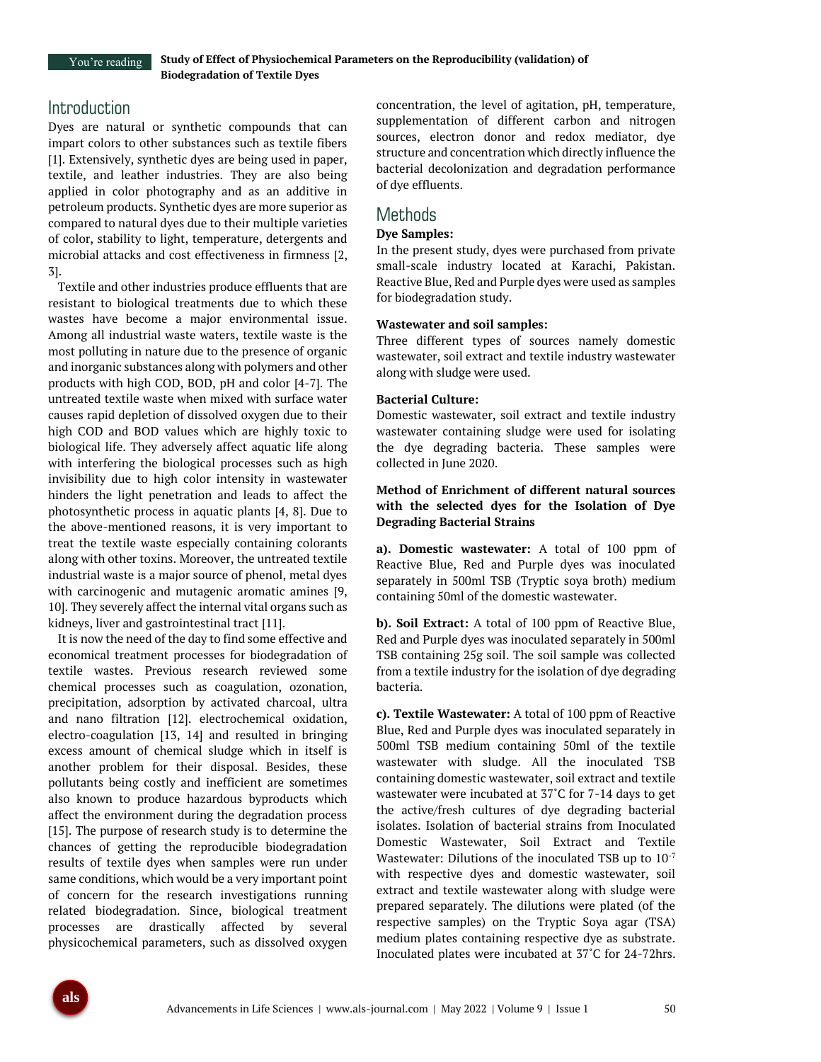# **Introduction**

Dyes are natural or synthetic compounds that can impart colors to other substances such as textile fibers [1]. Extensively, synthetic dyes are being used in paper, textile, and leather industries. They are also being applied in color photography and as an additive in petroleum products. Synthetic dyes are more superior as compared to natural dyes due to their multiple varieties of color, stability to light, temperature, detergents and microbial attacks and cost effectiveness in firmness [2, 3].

Textile and other industries produce effluents that are resistant to biological treatments due to which these wastes have become a major environmental issue. Among all industrial waste waters, textile waste is the most polluting in nature due to the presence of organic and inorganic substances along with polymers and other products with high COD, BOD, pH and color [4-7]. The untreated textile waste when mixed with surface water causes rapid depletion of dissolved oxygen due to their high COD and BOD values which are highly toxic to biological life. They adversely affect aquatic life along with interfering the biological processes such as high invisibility due to high color intensity in wastewater hinders the light penetration and leads to affect the photosynthetic process in aquatic plants [4, 8]. Due to the above-mentioned reasons, it is very important to treat the textile waste especially containing colorants along with other toxins. Moreover, the untreated textile industrial waste is a major source of phenol, metal dyes with carcinogenic and mutagenic aromatic amines [9, 10]. They severely affect the internal vital organs such as kidneys, liver and gastrointestinal tract [11].

It is now the need of the day to find some effective and economical treatment processes for biodegradation of textile wastes. Previous research reviewed some chemical processes such as coagulation, ozonation, precipitation, adsorption by activated charcoal, ultra and nano filtration [12]. electrochemical oxidation, electro-coagulation [13, 14] and resulted in bringing excess amount of chemical sludge which in itself is another problem for their disposal. Besides, these pollutants being costly and inefficient are sometimes also known to produce hazardous byproducts which affect the environment during the degradation process [15]. The purpose of research study is to determine the chances of getting the reproducible biodegradation results of textile dyes when samples were run under same conditions, which would be a very important point of concern for the research investigations running related biodegradation. Since, biological treatment processes are drastically affected by several physicochemical parameters, such as dissolved oxygen

concentration, the level of agitation, pH, temperature, supplementation of different carbon and nitrogen sources, electron donor and redox mediator, dye structure and concentration which directly influence the bacterial decolonization and degradation performance of dye effluents.

# Methods

## **Dye Samples:**

In the present study, dyes were purchased from private small-scale industry located at Karachi, Pakistan. Reactive Blue, Red and Purple dyes were used as samples for biodegradation study.

## **Wastewater and soil samples:**

Three different types of sources namely domestic wastewater, soil extract and textile industry wastewater along with sludge were used.

## **Bacterial Culture:**

Domestic wastewater, soil extract and textile industry wastewater containing sludge were used for isolating the dye degrading bacteria. These samples were collected in June 2020.

## **Method of Enrichment of different natural sources with the selected dyes for the Isolation of Dye Degrading Bacterial Strains**

**a). Domestic wastewater:** A total of 100 ppm of Reactive Blue, Red and Purple dyes was inoculated separately in 500ml TSB (Tryptic soya broth) medium containing 50ml of the domestic wastewater.

**b). Soil Extract:** A total of 100 ppm of Reactive Blue, Red and Purple dyes was inoculated separately in 500ml TSB containing 25g soil. The soil sample was collected from a textile industry for the isolation of dye degrading bacteria.

**c). Textile Wastewater:** A total of 100 ppm of Reactive Blue, Red and Purple dyes was inoculated separately in 500ml TSB medium containing 50ml of the textile wastewater with sludge. All the inoculated TSB containing domestic wastewater, soil extract and textile wastewater were incubated at 37˚C for 7-14 days to get the active/fresh cultures of dye degrading bacterial isolates. Isolation of bacterial strains from Inoculated Domestic Wastewater, Soil Extract and Textile Wastewater: Dilutions of the inoculated TSB up to 10-7 with respective dyes and domestic wastewater, soil extract and textile wastewater along with sludge were prepared separately. The dilutions were plated (of the respective samples) on the Tryptic Soya agar (TSA) medium plates containing respective dye as substrate. Inoculated plates were incubated at 37˚C for 24-72hrs.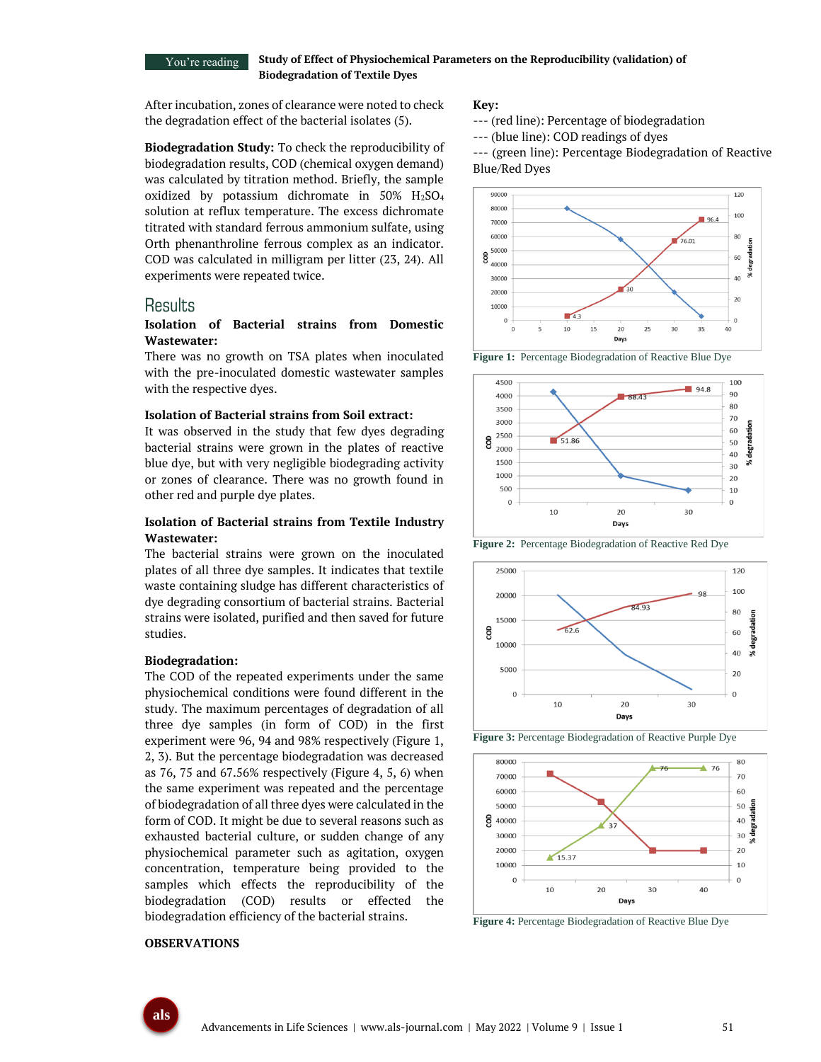#### You're reading **Study of Effect of Physiochemical Parameters on the Reproducibility (validation) of Biodegradation of Textile Dyes**

After incubation, zones of clearance were noted to check the degradation effect of the bacterial isolates (5).

**Biodegradation Study:** To check the reproducibility of biodegradation results, COD (chemical oxygen demand) was calculated by titration method. Briefly, the sample oxidized by potassium dichromate in  $50\%$  H<sub>2</sub>SO<sub>4</sub> solution at reflux temperature. The excess dichromate titrated with standard ferrous ammonium sulfate, using Orth phenanthroline ferrous complex as an indicator. COD was calculated in milligram per litter (23, 24). All experiments were repeated twice.

# Results

## **Isolation of Bacterial strains from Domestic Wastewater:**

There was no growth on TSA plates when inoculated with the pre-inoculated domestic wastewater samples with the respective dyes.

#### **Isolation of Bacterial strains from Soil extract:**

It was observed in the study that few dyes degrading bacterial strains were grown in the plates of reactive blue dye, but with very negligible biodegrading activity or zones of clearance. There was no growth found in other red and purple dye plates.

## **Isolation of Bacterial strains from Textile Industry Wastewater:**

The bacterial strains were grown on the inoculated plates of all three dye samples. It indicates that textile waste containing sludge has different characteristics of dye degrading consortium of bacterial strains. Bacterial strains were isolated, purified and then saved for future studies.

#### **Biodegradation:**

The COD of the repeated experiments under the same physiochemical conditions were found different in the study. The maximum percentages of degradation of all three dye samples (in form of COD) in the first experiment were 96, 94 and 98% respectively (Figure 1, 2, 3). But the percentage biodegradation was decreased as 76, 75 and 67.56% respectively (Figure 4, 5, 6) when the same experiment was repeated and the percentage of biodegradation of all three dyes were calculated in the form of COD. It might be due to several reasons such as exhausted bacterial culture, or sudden change of any physiochemical parameter such as agitation, oxygen concentration, temperature being provided to the samples which effects the reproducibility of the biodegradation (COD) results or effected the biodegradation efficiency of the bacterial strains.

#### **OBSERVATIONS**

**als**

#### **Key:**

- --- (red line): Percentage of biodegradation
- --- (blue line): COD readings of dyes

--- (green line): Percentage Biodegradation of Reactive Blue/Red Dyes



**Figure 1:** Percentage Biodegradation of Reactive Blue Dye



**Figure 2:** Percentage Biodegradation of Reactive Red Dye



**Figure 3:** Percentage Biodegradation of Reactive Purple Dye



**Figure 4:** Percentage Biodegradation of Reactive Blue Dye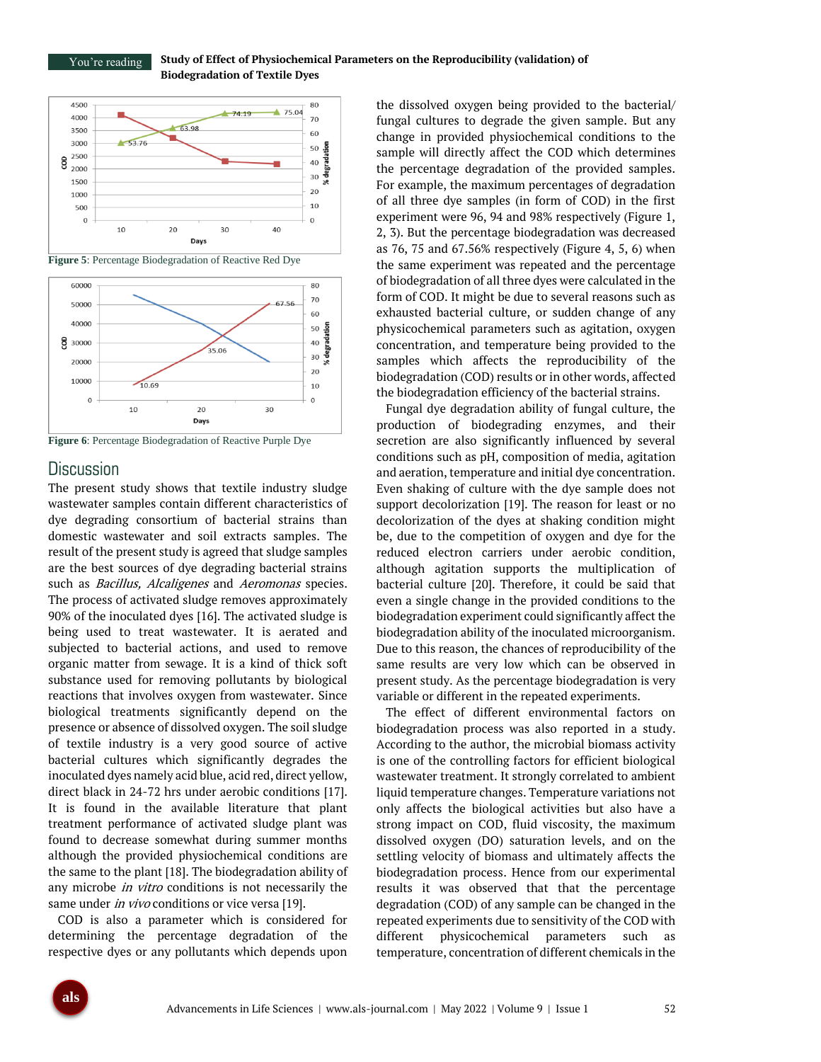

**Figure 5**: Percentage Biodegradation of Reactive Red Dye



**Figure 6**: Percentage Biodegradation of Reactive Purple Dye

# **Discussion**

The present study shows that textile industry sludge wastewater samples contain different characteristics of dye degrading consortium of bacterial strains than domestic wastewater and soil extracts samples. The result of the present study is agreed that sludge samples are the best sources of dye degrading bacterial strains such as *Bacillus*, *Alcaligenes* and *Aeromonas* species. The process of activated sludge removes approximately 90% of the inoculated dyes [16]. The activated sludge is being used to treat wastewater. It is aerated and subjected to bacterial actions, and used to remove organic matter from sewage. It is a kind of thick soft substance used for removing pollutants by biological reactions that involves oxygen from wastewater. Since biological treatments significantly depend on the presence or absence of dissolved oxygen. The soil sludge of textile industry is a very good source of active bacterial cultures which significantly degrades the inoculated dyes namely acid blue, acid red, direct yellow, direct black in 24-72 hrs under aerobic conditions [17]. It is found in the available literature that plant treatment performance of activated sludge plant was found to decrease somewhat during summer months although the provided physiochemical conditions are the same to the plant [18]. The biodegradation ability of any microbe in vitro conditions is not necessarily the same under in vivo conditions or vice versa [19].

COD is also a parameter which is considered for determining the percentage degradation of the respective dyes or any pollutants which depends upon

the dissolved oxygen being provided to the bacterial/ fungal cultures to degrade the given sample. But any change in provided physiochemical conditions to the sample will directly affect the COD which determines the percentage degradation of the provided samples. For example, the maximum percentages of degradation of all three dye samples (in form of COD) in the first experiment were 96, 94 and 98% respectively (Figure 1, 2, 3). But the percentage biodegradation was decreased as 76, 75 and 67.56% respectively (Figure 4, 5, 6) when the same experiment was repeated and the percentage of biodegradation of all three dyes were calculated in the form of COD. It might be due to several reasons such as exhausted bacterial culture, or sudden change of any physicochemical parameters such as agitation, oxygen concentration, and temperature being provided to the samples which affects the reproducibility of the biodegradation (COD) results or in other words, affected the biodegradation efficiency of the bacterial strains.

Fungal dye degradation ability of fungal culture, the production of biodegrading enzymes, and their secretion are also significantly influenced by several conditions such as pH, composition of media, agitation and aeration, temperature and initial dye concentration. Even shaking of culture with the dye sample does not support decolorization [19]. The reason for least or no decolorization of the dyes at shaking condition might be, due to the competition of oxygen and dye for the reduced electron carriers under aerobic condition, although agitation supports the multiplication of bacterial culture [20]. Therefore, it could be said that even a single change in the provided conditions to the biodegradation experiment could significantly affect the biodegradation ability of the inoculated microorganism. Due to this reason, the chances of reproducibility of the same results are very low which can be observed in present study. As the percentage biodegradation is very variable or different in the repeated experiments.

The effect of different environmental factors on biodegradation process was also reported in a study. According to the author, the microbial biomass activity is one of the controlling factors for efficient biological wastewater treatment. It strongly correlated to ambient liquid temperature changes. Temperature variations not only affects the biological activities but also have a strong impact on COD, fluid viscosity, the maximum dissolved oxygen (DO) saturation levels, and on the settling velocity of biomass and ultimately affects the biodegradation process. Hence from our experimental results it was observed that that the percentage degradation (COD) of any sample can be changed in the repeated experiments due to sensitivity of the COD with different physicochemical parameters such as temperature, concentration of different chemicals in the